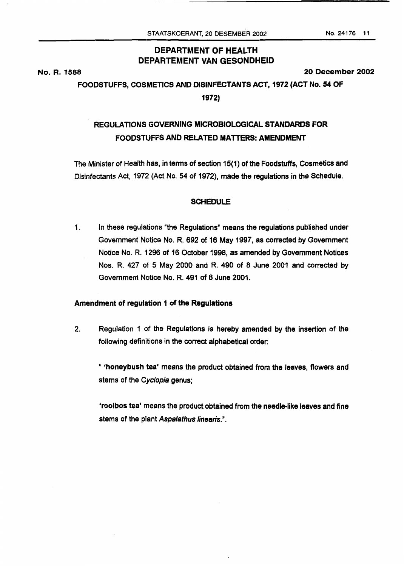# **DEPARTMENT OF HEALTH DEPARTEMENT VAN GESONDHEID**

**No. R. 1588** 

*20* **December** *2002* 

## **FOODSTUFFS, COSMETICS AND DISINFECTANTS ACT, 1972 (ACT No. 54 OF**

**1972)** 

# **REGULATIONS GOVERNING MICROBIOLOGICAL** *STANDARDS* **FOR FOODSTUFFS AND RELATED MATTERS: AMENDMENT**

The Minister of Health has, interms **of** section 15(1) **of** the Foodstuffs, Cosmetics and Disinfectants **Act,** 1972 (Act No. *54 of* 1972), made the regulations in the Schedule.

#### **SCHEDULE**

1. In these regulations 'the Regulations" means the regulations published under Government Notice **No. R.** 692 **of** 16 May 1997, as corrected by Government Notice No. **R.** 1296 **of** 16 October 1998, as amended by Government Notices **Nos. R. 427 of 5 May** 2000 and R. 490 **of 8** June **2001** and corrected by Government Notice No. R. 491 **of 8** June 2001.

### **Amendment of regulation 1 of the Regulations**

**2.** Regulation 1 of the Regulations **is** hereby amended by the insertion *of* the following definitions in the correct alphabetical order:

" **'honeybush tea'** means the product obtained from the leaves, flowers and stems of the *Cyclopia* genus;

**'rooibos tea'** means the product obtained **from** the needlelike leaves and fine stems of the plant *Aspalathus linearis.".*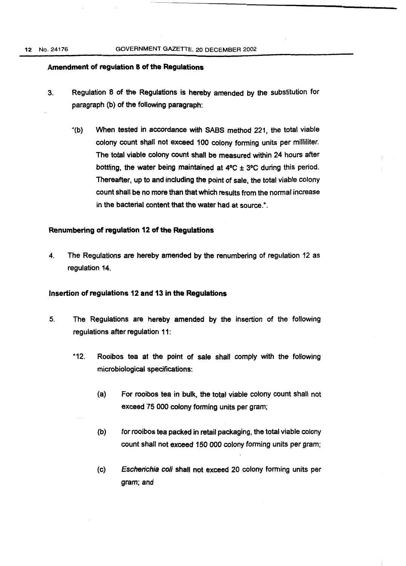#### **Amendment of regulation 8 of the Regulations**

- **3.** Regulation **8 of** the Regulations **is** hereby amended by the substitution for paragraph (b) **of** the following paragraph:
	- '(b) When tested in accordance with **SABS** method **221,** the total viable colony count shall not exceed **100** colony forming units per milliliter. The total viable colony count shall be measured within **24** hours after bottling, the water being maintained at 4°C  $\pm$  3°C during this period. Thereafter, up to and including the point **of** sale, the total viable colony count shall be no more than that which results from the normal increase in **the** bacterial content that **the** water had at source.".

### **Renumbering of regulation 12 of the Regulations**

**4.** The Regulations are hereby amended by the renumbering of regulation **12 as**  regulation **14.** 

#### **Insertion of regulations 12 and 13 in the Regulations**

- *5.* The Regulations are hereby amended by the insertion **of** the following regulations after regulation **11:** 
	- **"12.** Rooibos tea **at** the point **of** sale shall comply with the following microbiological specifications:
		- $(a)$ For **rooibos** tea in bulk, the total viable colony count shall not exceed **'75** *000* colony forming units per gram;
		- $(b)$ for rooibos tea packed in retail packaging, the total viable colony count shall not exceed *150 000* colony forming units per gram;
		- $(c)$ *Escherichia coli* shall not exceed **20** colony forming units per gram; and